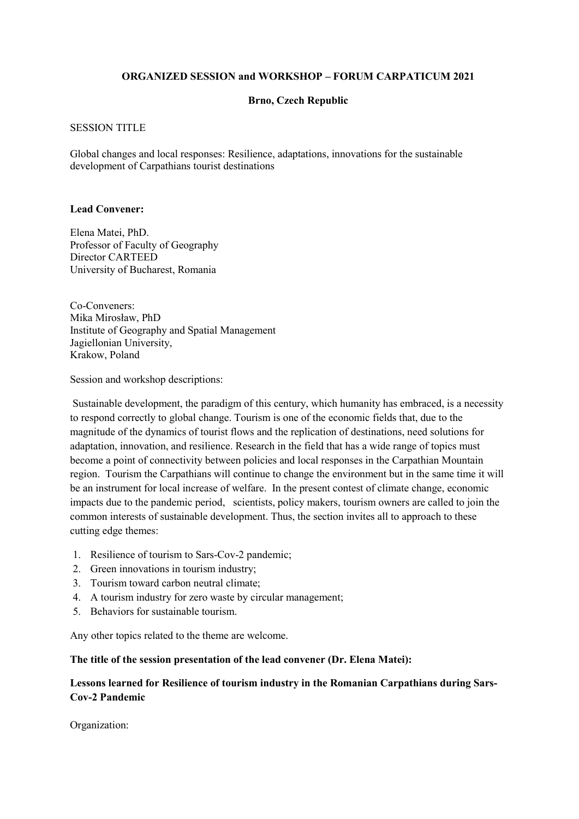# **ORGANIZED SESSION and WORKSHOP – FORUM CARPATICUM 2021**

## **Brno, Czech Republic**

### SESSION TITLE

Global changes and local responses: Resilience, adaptations, innovations for the sustainable development of Carpathians tourist destinations

#### **Lead Convener:**

Elena Matei, PhD. Professor of Faculty of Geography Director CARTEED University of Bucharest, Romania

Co-Conveners: Mika Mirosław, PhD Institute of Geography and Spatial Management Jagiellonian University, Krakow, Poland

Session and workshop descriptions:

 Sustainable development, the paradigm of this century, which humanity has embraced, is a necessity to respond correctly to global change. Tourism is one of the economic fields that, due to the magnitude of the dynamics of tourist flows and the replication of destinations, need solutions for adaptation, innovation, and resilience. Research in the field that has a wide range of topics must become a point of connectivity between policies and local responses in the Carpathian Mountain region. Tourism the Carpathians will continue to change the environment but in the same time it will be an instrument for local increase of welfare. In the present contest of climate change, economic impacts due to the pandemic period, scientists, policy makers, tourism owners are called to join the common interests of sustainable development. Thus, the section invites all to approach to these cutting edge themes:

- 1. Resilience of tourism to Sars-Cov-2 pandemic;
- 2. Green innovations in tourism industry;
- 3. Tourism toward carbon neutral climate;
- 4. A tourism industry for zero waste by circular management;
- 5. Behaviors for sustainable tourism.

Any other topics related to the theme are welcome.

**The title of the session presentation of the lead convener (Dr. Elena Matei):** 

# **Lessons learned for Resilience of tourism industry in the Romanian Carpathians during Sars-Cov-2 Pandemic**

Organization: